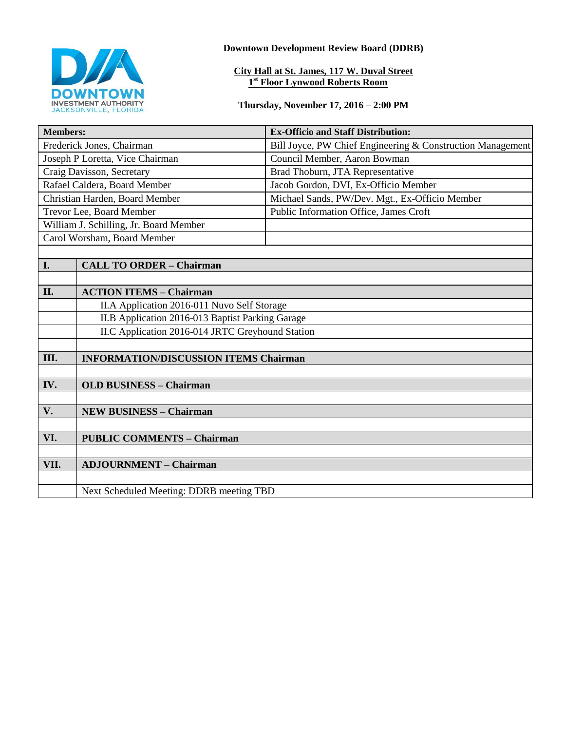

**Downtown Development Review Board (DDRB)**

#### **City Hall at St. James, 117 W. Duval Street 1 st Floor Lynwood Roberts Room**

**Thursday, November 17, 2016 – 2:00 PM**

| <b>Members:</b>                        |                                                  | <b>Ex-Officio and Staff Distribution:</b>                  |
|----------------------------------------|--------------------------------------------------|------------------------------------------------------------|
| Frederick Jones, Chairman              |                                                  | Bill Joyce, PW Chief Engineering & Construction Management |
| Joseph P Loretta, Vice Chairman        |                                                  | Council Member, Aaron Bowman                               |
| Craig Davisson, Secretary              |                                                  | Brad Thoburn, JTA Representative                           |
| Rafael Caldera, Board Member           |                                                  | Jacob Gordon, DVI, Ex-Officio Member                       |
| Christian Harden, Board Member         |                                                  | Michael Sands, PW/Dev. Mgt., Ex-Officio Member             |
| Trevor Lee, Board Member               |                                                  | Public Information Office, James Croft                     |
| William J. Schilling, Jr. Board Member |                                                  |                                                            |
| Carol Worsham, Board Member            |                                                  |                                                            |
|                                        |                                                  |                                                            |
| I.                                     | <b>CALL TO ORDER - Chairman</b>                  |                                                            |
|                                        |                                                  |                                                            |
| II.                                    | <b>ACTION ITEMS - Chairman</b>                   |                                                            |
|                                        | II.A Application 2016-011 Nuvo Self Storage      |                                                            |
|                                        | II.B Application 2016-013 Baptist Parking Garage |                                                            |
|                                        | II.C Application 2016-014 JRTC Greyhound Station |                                                            |
|                                        |                                                  |                                                            |
| III.                                   | <b>INFORMATION/DISCUSSION ITEMS Chairman</b>     |                                                            |
|                                        |                                                  |                                                            |
| IV.                                    | <b>OLD BUSINESS - Chairman</b>                   |                                                            |
|                                        |                                                  |                                                            |
| V.                                     | <b>NEW BUSINESS - Chairman</b>                   |                                                            |
|                                        |                                                  |                                                            |
| VI.                                    | <b>PUBLIC COMMENTS - Chairman</b>                |                                                            |
|                                        |                                                  |                                                            |
| VII.                                   | <b>ADJOURNMENT - Chairman</b>                    |                                                            |
|                                        |                                                  |                                                            |
|                                        | Next Scheduled Meeting: DDRB meeting TBD         |                                                            |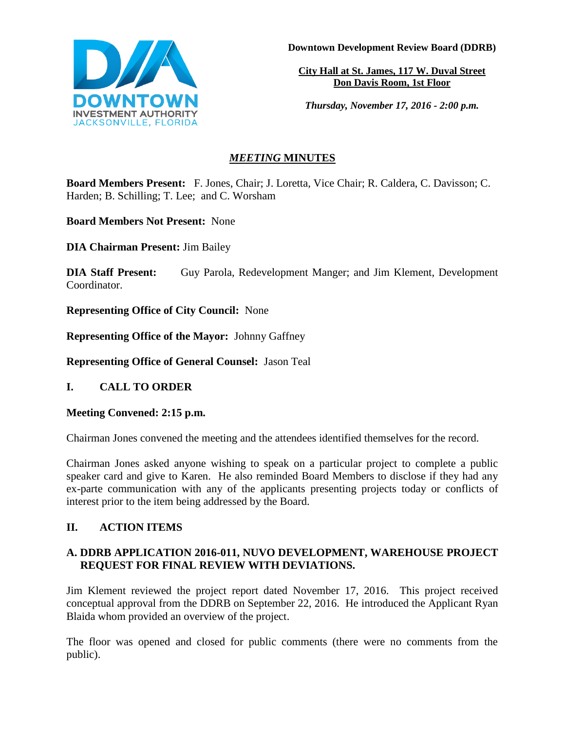

**Downtown Development Review Board (DDRB)**

**City Hall at St. James, 117 W. Duval Street Don Davis Room, 1st Floor**

*Thursday, November 17, 2016 - 2:00 p.m.*

# *MEETING* **MINUTES**

**Board Members Present:** F. Jones, Chair; J. Loretta, Vice Chair; R. Caldera, C. Davisson; C. Harden; B. Schilling; T. Lee; and C. Worsham

**Board Members Not Present:** None

**DIA Chairman Present:** Jim Bailey

**DIA Staff Present:** Guy Parola, Redevelopment Manger; and Jim Klement, Development Coordinator.

**Representing Office of City Council:** None

**Representing Office of the Mayor:** Johnny Gaffney

**Representing Office of General Counsel:** Jason Teal

# **I. CALL TO ORDER**

**Meeting Convened: 2:15 p.m.** 

Chairman Jones convened the meeting and the attendees identified themselves for the record.

Chairman Jones asked anyone wishing to speak on a particular project to complete a public speaker card and give to Karen. He also reminded Board Members to disclose if they had any ex-parte communication with any of the applicants presenting projects today or conflicts of interest prior to the item being addressed by the Board.

# **II. ACTION ITEMS**

## **A. DDRB APPLICATION 2016-011, NUVO DEVELOPMENT, WAREHOUSE PROJECT REQUEST FOR FINAL REVIEW WITH DEVIATIONS.**

Jim Klement reviewed the project report dated November 17, 2016. This project received conceptual approval from the DDRB on September 22, 2016. He introduced the Applicant Ryan Blaida whom provided an overview of the project.

The floor was opened and closed for public comments (there were no comments from the public).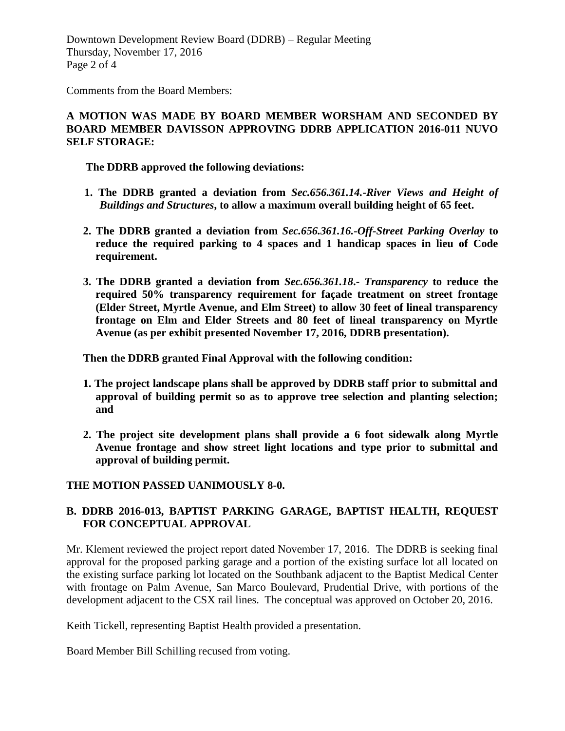Downtown Development Review Board (DDRB) – Regular Meeting Thursday, November 17, 2016 Page 2 of 4

Comments from the Board Members:

#### **A MOTION WAS MADE BY BOARD MEMBER WORSHAM AND SECONDED BY BOARD MEMBER DAVISSON APPROVING DDRB APPLICATION 2016-011 NUVO SELF STORAGE:**

**The DDRB approved the following deviations:**

- **1. The DDRB granted a deviation from** *Sec.656.361.14.-River Views and Height of Buildings and Structures***, to allow a maximum overall building height of 65 feet.**
- **2. The DDRB granted a deviation from** *Sec.656.361.16.-Off-Street Parking Overlay* **to reduce the required parking to 4 spaces and 1 handicap spaces in lieu of Code requirement.**
- **3. The DDRB granted a deviation from** *Sec.656.361.18***.-** *Transparency* **to reduce the required 50% transparency requirement for façade treatment on street frontage (Elder Street, Myrtle Avenue, and Elm Street) to allow 30 feet of lineal transparency frontage on Elm and Elder Streets and 80 feet of lineal transparency on Myrtle Avenue (as per exhibit presented November 17, 2016, DDRB presentation).**

**Then the DDRB granted Final Approval with the following condition:**

- **1. The project landscape plans shall be approved by DDRB staff prior to submittal and approval of building permit so as to approve tree selection and planting selection; and**
- **2. The project site development plans shall provide a 6 foot sidewalk along Myrtle Avenue frontage and show street light locations and type prior to submittal and approval of building permit.**

## **THE MOTION PASSED UANIMOUSLY 8-0.**

## **B. DDRB 2016-013, BAPTIST PARKING GARAGE, BAPTIST HEALTH, REQUEST FOR CONCEPTUAL APPROVAL**

Mr. Klement reviewed the project report dated November 17, 2016. The DDRB is seeking final approval for the proposed parking garage and a portion of the existing surface lot all located on the existing surface parking lot located on the Southbank adjacent to the Baptist Medical Center with frontage on Palm Avenue, San Marco Boulevard, Prudential Drive, with portions of the development adjacent to the CSX rail lines. The conceptual was approved on October 20, 2016.

Keith Tickell, representing Baptist Health provided a presentation.

Board Member Bill Schilling recused from voting.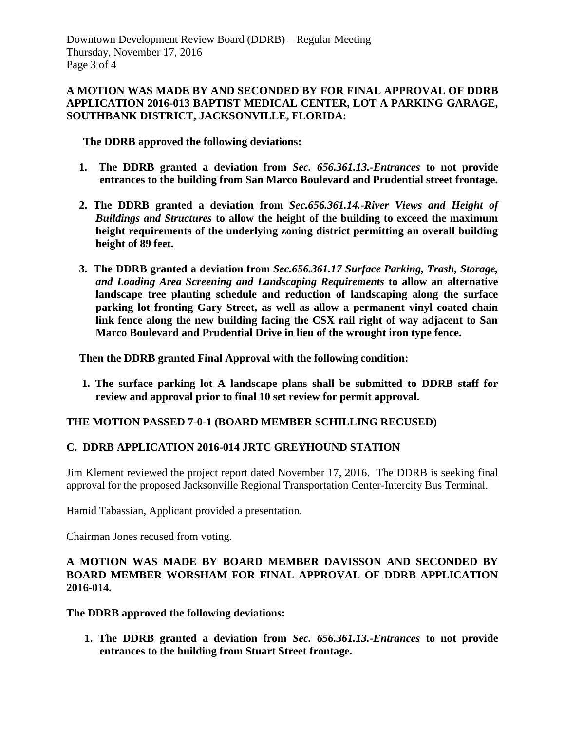#### **A MOTION WAS MADE BY AND SECONDED BY FOR FINAL APPROVAL OF DDRB APPLICATION 2016-013 BAPTIST MEDICAL CENTER, LOT A PARKING GARAGE, SOUTHBANK DISTRICT, JACKSONVILLE, FLORIDA:**

**The DDRB approved the following deviations:**

- **1. The DDRB granted a deviation from** *Sec. 656.361.13.-Entrances* **to not provide entrances to the building from San Marco Boulevard and Prudential street frontage.**
- **2. The DDRB granted a deviation from** *Sec.656.361.14.-River Views and Height of Buildings and Structures* **to allow the height of the building to exceed the maximum height requirements of the underlying zoning district permitting an overall building height of 89 feet.**
- **3. The DDRB granted a deviation from** *Sec.656.361.17 Surface Parking, Trash, Storage, and Loading Area Screening and Landscaping Requirements* **to allow an alternative landscape tree planting schedule and reduction of landscaping along the surface parking lot fronting Gary Street, as well as allow a permanent vinyl coated chain link fence along the new building facing the CSX rail right of way adjacent to San Marco Boulevard and Prudential Drive in lieu of the wrought iron type fence.**

**Then the DDRB granted Final Approval with the following condition:**

**1. The surface parking lot A landscape plans shall be submitted to DDRB staff for review and approval prior to final 10 set review for permit approval.** 

## **THE MOTION PASSED 7-0-1 (BOARD MEMBER SCHILLING RECUSED)**

## **C. DDRB APPLICATION 2016-014 JRTC GREYHOUND STATION**

Jim Klement reviewed the project report dated November 17, 2016. The DDRB is seeking final approval for the proposed Jacksonville Regional Transportation Center-Intercity Bus Terminal.

Hamid Tabassian, Applicant provided a presentation.

Chairman Jones recused from voting.

## **A MOTION WAS MADE BY BOARD MEMBER DAVISSON AND SECONDED BY BOARD MEMBER WORSHAM FOR FINAL APPROVAL OF DDRB APPLICATION 2016-014.**

**The DDRB approved the following deviations:**

 **1. The DDRB granted a deviation from** *Sec. 656.361.13.-Entrances* **to not provide entrances to the building from Stuart Street frontage.**